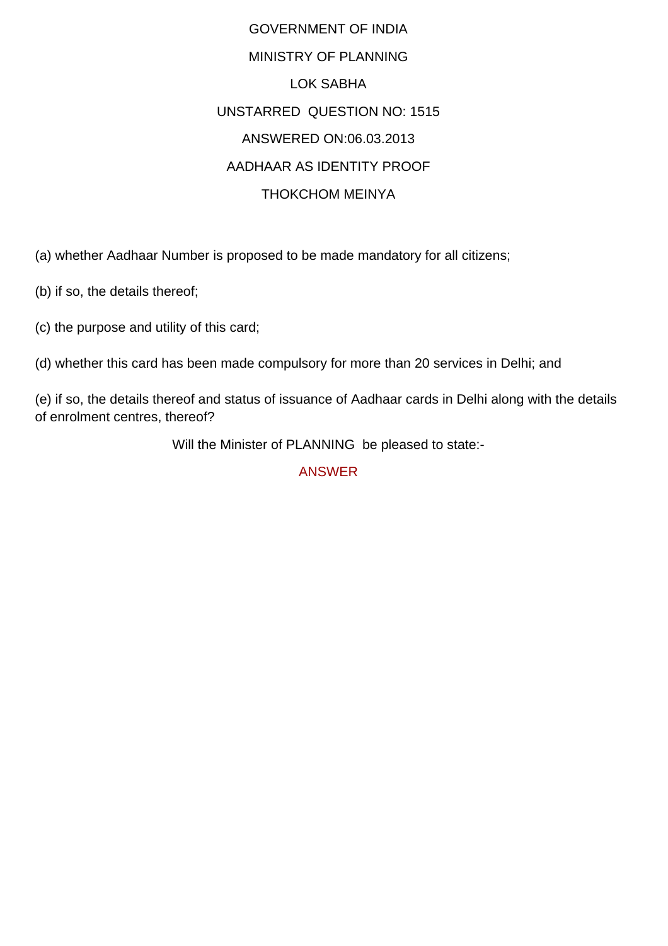GOVERNMENT OF INDIA MINISTRY OF PLANNING LOK SABHA UNSTARRED QUESTION NO: 1515 ANSWERED ON:06.03.2013 AADHAAR AS IDENTITY PROOF THOKCHOM MEINYA

(a) whether Aadhaar Number is proposed to be made mandatory for all citizens;

(b) if so, the details thereof;

(c) the purpose and utility of this card;

(d) whether this card has been made compulsory for more than 20 services in Delhi; and

(e) if so, the details thereof and status of issuance of Aadhaar cards in Delhi along with the details of enrolment centres, thereof?

Will the Minister of PLANNING be pleased to state:-

ANSWER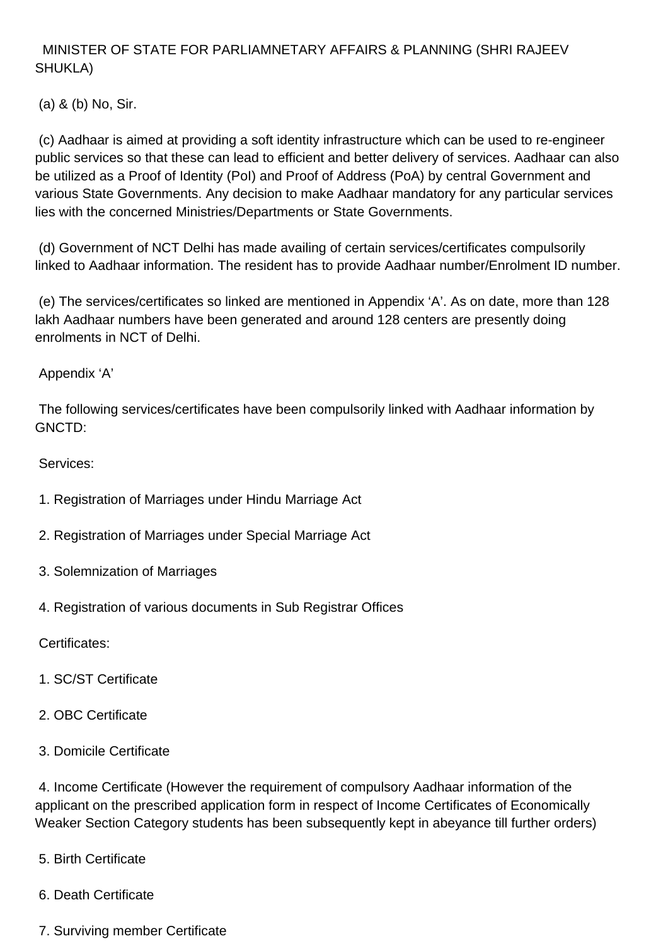## MINISTER OF STATE FOR PARLIAMNETARY AFFAIRS & PLANNING (SHRI RAJEEV SHUKLA)

(a) & (b) No, Sir.

 (c) Aadhaar is aimed at providing a soft identity infrastructure which can be used to re-engineer public services so that these can lead to efficient and better delivery of services. Aadhaar can also be utilized as a Proof of Identity (PoI) and Proof of Address (PoA) by central Government and various State Governments. Any decision to make Aadhaar mandatory for any particular services lies with the concerned Ministries/Departments or State Governments.

 (d) Government of NCT Delhi has made availing of certain services/certificates compulsorily linked to Aadhaar information. The resident has to provide Aadhaar number/Enrolment ID number.

 (e) The services/certificates so linked are mentioned in Appendix 'A'. As on date, more than 128 lakh Aadhaar numbers have been generated and around 128 centers are presently doing enrolments in NCT of Delhi.

Appendix 'A'

 The following services/certificates have been compulsorily linked with Aadhaar information by GNCTD:

Services:

- 1. Registration of Marriages under Hindu Marriage Act
- 2. Registration of Marriages under Special Marriage Act
- 3. Solemnization of Marriages
- 4. Registration of various documents in Sub Registrar Offices

Certificates:

- 1. SC/ST Certificate
- 2. OBC Certificate
- 3. Domicile Certificate

 4. Income Certificate (However the requirement of compulsory Aadhaar information of the applicant on the prescribed application form in respect of Income Certificates of Economically Weaker Section Category students has been subsequently kept in abeyance till further orders)

- 5. Birth Certificate
- 6. Death Certificate
- 7. Surviving member Certificate